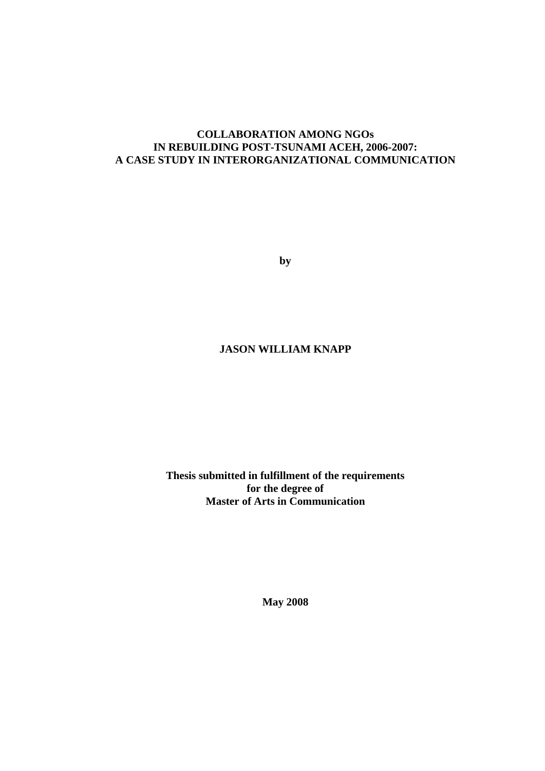# **COLLABORATION AMONG NGOs IN REBUILDING POST-TSUNAMI ACEH, 2006-2007: A CASE STUDY IN INTERORGANIZATIONAL COMMUNICATION**

**by**

# **JASON WILLIAM KNAPP**

**Thesis submitted in fulfillment of the requirements for the degree of Master of Arts in Communication**

**May 2008**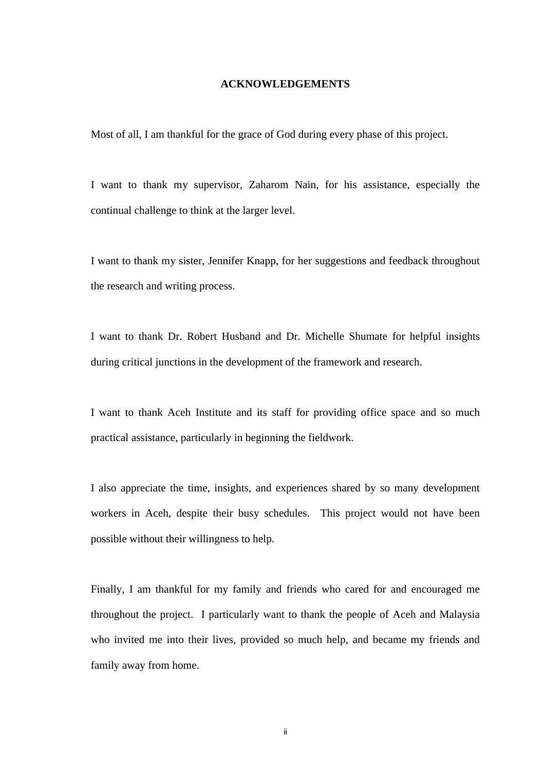#### **ACKNOWLEDGEMENTS**

Most of all, I am thankful for the grace of God during every phase of this project.

I want to thank my supervisor, Zaharom Nain, for his assistance, especially the continual challenge to think at the larger level.

I want to thank my sister, Jennifer Knapp, for her suggestions and feedback throughout the research and writing process.

I want to thank Dr. Robert Husband and Dr. Michelle Shumate for helpful insights during critical junctions in the development of the framework and research.

I want to thank Aceh Institute and its staff for providing office space and so much practical assistance, particularly in beginning the fieldwork.

I also appreciate the time, insights, and experiences shared by so many development workers in Aceh, despite their busy schedules. This project would not have been possible without their willingness to help.

Finally, I am thankful for my family and friends who cared for and encouraged me throughout the project. I particularly want to thank the people of Aceh and Malaysia who invited me into their lives, provided so much help, and became my friends and family away from home.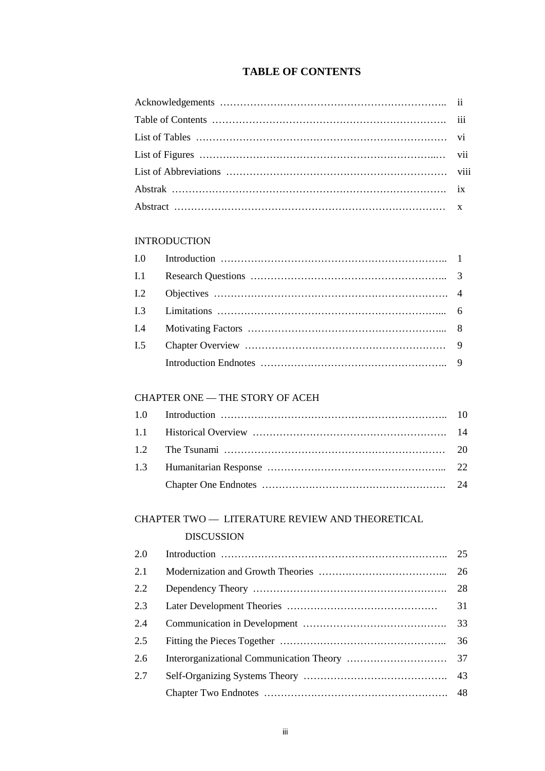# **TABLE OF CONTENTS**

# INTRODUCTION

| I.1 |  |
|-----|--|
|     |  |
|     |  |
|     |  |
| I.5 |  |
|     |  |

## CHAPTER ONE — THE STORY OF ACEH

# CHAPTER TWO — LITERATURE REVIEW AND THEORETICAL

### DISCUSSION

| 2.0 | 25 |    |
|-----|----|----|
| 2.1 |    |    |
| 2.2 |    | 28 |
| 2.3 |    | 31 |
| 2.4 |    | 33 |
| 2.5 |    | 36 |
| 2.6 |    | 37 |
| 2.7 |    |    |
|     |    |    |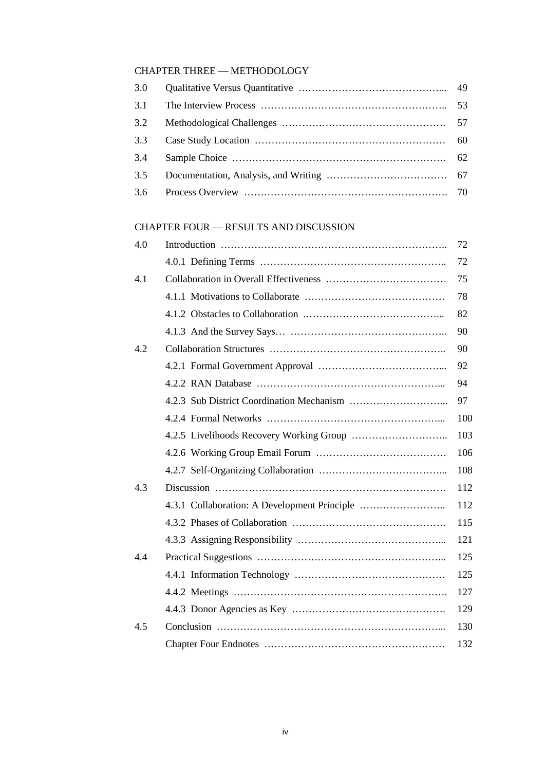# CHAPTER THREE — METHODOLOGY

| 3.0 |  |
|-----|--|
| 3.1 |  |
| 3.2 |  |
| 3.3 |  |
| 3.4 |  |
| 3.5 |  |
| 3.6 |  |

# CHAPTER FOUR — RESULTS AND DISCUSSION

| 4.0 | 72  |
|-----|-----|
|     | 72  |
| 4.1 | 75  |
|     | 78  |
|     | 82  |
|     | 90  |
| 4.2 | 90  |
|     | 92  |
|     | 94  |
|     | 97  |
|     | 100 |
|     | 103 |
|     | 106 |
|     | 108 |
| 4.3 | 112 |
|     | 112 |
|     | 115 |
|     | 121 |
| 4.4 | 125 |
|     | 125 |
|     | 127 |
|     | 129 |
| 4.5 | 130 |
|     | 132 |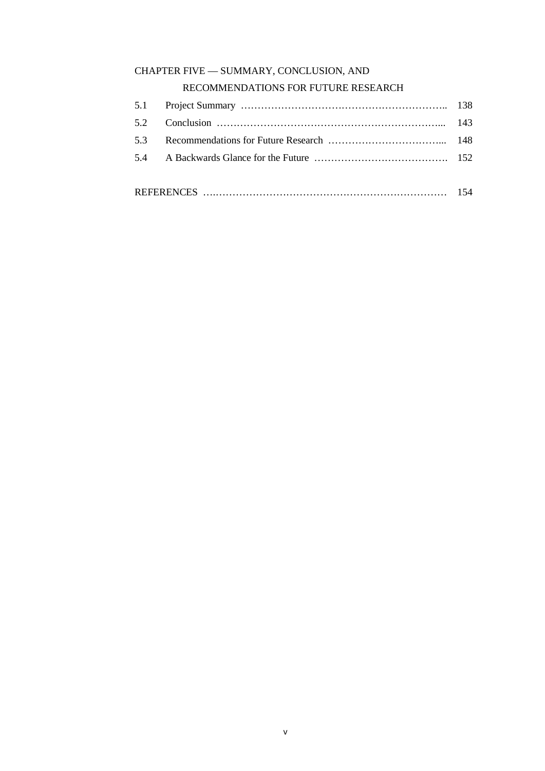# CHAPTER FIVE — SUMMARY, CONCLUSION, AND

# RECOMMENDATIONS FOR FUTURE RESEARCH

| <b>REFERENCES</b> |  |
|-------------------|--|
|                   |  |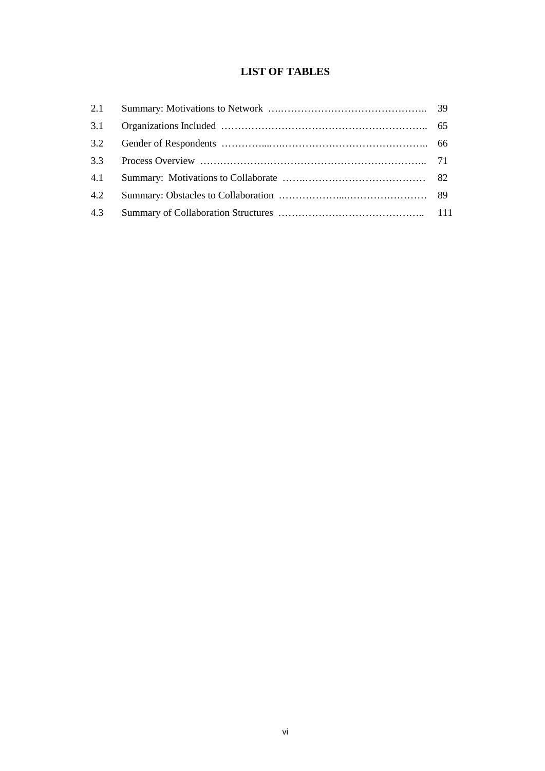# **LIST OF TABLES**

| 2.1 |  |
|-----|--|
| 3.1 |  |
| 3.2 |  |
| 3.3 |  |
| 4.1 |  |
| 4.2 |  |
| 4.3 |  |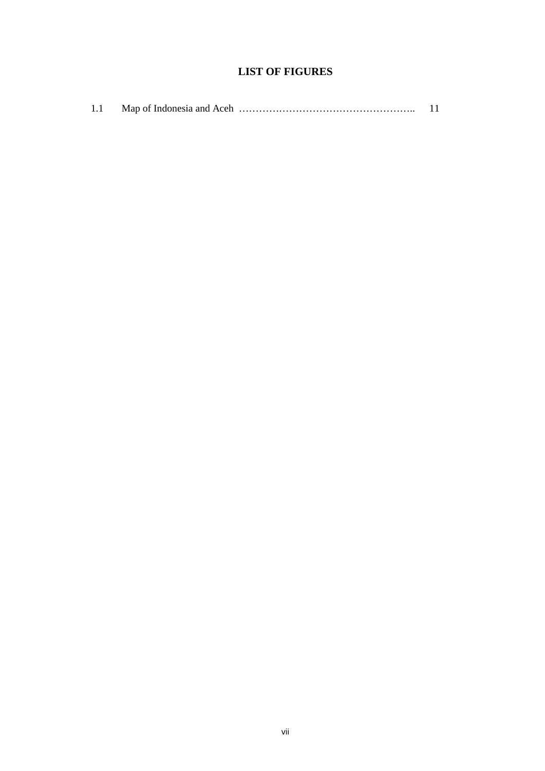# **LIST OF FIGURES**

| 1.1 |  |  |  |
|-----|--|--|--|
|-----|--|--|--|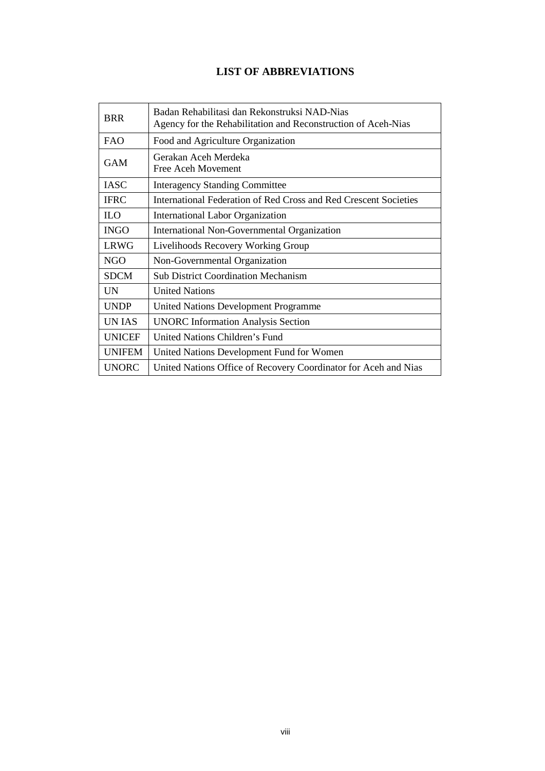# **LIST OF ABBREVIATIONS**

| <b>BRR</b>    | Badan Rehabilitasi dan Rekonstruksi NAD-Nias<br>Agency for the Rehabilitation and Reconstruction of Aceh-Nias |
|---------------|---------------------------------------------------------------------------------------------------------------|
| <b>FAO</b>    | Food and Agriculture Organization                                                                             |
| <b>GAM</b>    | Gerakan Aceh Merdeka<br>Free Aceh Movement                                                                    |
| <b>IASC</b>   | <b>Interagency Standing Committee</b>                                                                         |
| <b>IFRC</b>   | International Federation of Red Cross and Red Crescent Societies                                              |
| <b>ILO</b>    | International Labor Organization                                                                              |
| <b>INGO</b>   | International Non-Governmental Organization                                                                   |
| <b>LRWG</b>   | Livelihoods Recovery Working Group                                                                            |
| NGO           | Non-Governmental Organization                                                                                 |
| <b>SDCM</b>   | <b>Sub District Coordination Mechanism</b>                                                                    |
| <b>UN</b>     | <b>United Nations</b>                                                                                         |
| <b>UNDP</b>   | <b>United Nations Development Programme</b>                                                                   |
| <b>UNIAS</b>  | <b>UNORC</b> Information Analysis Section                                                                     |
| <b>UNICEF</b> | United Nations Children's Fund                                                                                |
| <b>UNIFEM</b> | United Nations Development Fund for Women                                                                     |
| <b>UNORC</b>  | United Nations Office of Recovery Coordinator for Aceh and Nias                                               |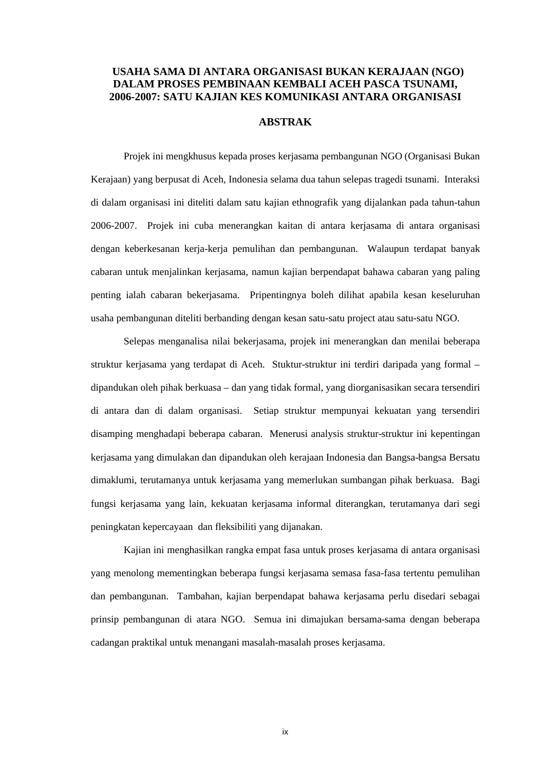### **USAHA SAMA DI ANTARA ORGANISASI BUKAN KERAJAAN (NGO) DALAM PROSES PEMBINAAN KEMBALI ACEH PASCA TSUNAMI, 2006-2007: SATU KAJIAN KES KOMUNIKASI ANTARA ORGANISASI**

#### **ABSTRAK**

Projek ini mengkhusus kepada proses kerjasama pembangunan NGO (Organisasi Bukan Kerajaan) yang berpusat di Aceh, Indonesia selama dua tahun selepas tragedi tsunami. Interaksi di dalam organisasi ini diteliti dalam satu kajian ethnografik yang dijalankan pada tahun-tahun 2006-2007. Projek ini cuba menerangkan kaitan di antara kerjasama di antara organisasi dengan keberkesanan kerja-kerja pemulihan dan pembangunan. Walaupun terdapat banyak cabaran untuk menjalinkan kerjasama, namun kajian berpendapat bahawa cabaran yang paling penting ialah cabaran bekerjasama. Pripentingnya boleh dilihat apabila kesan keseluruhan usaha pembangunan diteliti berbanding dengan kesan satu-satu project atau satu-satu NGO.

Selepas menganalisa nilai bekerjasama, projek ini menerangkan dan menilai beberapa struktur kerjasama yang terdapat di Aceh. Stuktur-struktur ini terdiri daripada yang formal – dipandukan oleh pihak berkuasa – dan yang tidak formal, yang diorganisasikan secara tersendiri di antara dan di dalam organisasi. Setiap struktur mempunyai kekuatan yang tersendiri disamping menghadapi beberapa cabaran. Menerusi analysis struktur-struktur ini kepentingan kerjasama yang dimulakan dan dipandukan oleh kerajaan Indonesia dan Bangsa-bangsa Bersatu dimaklumi, terutamanya untuk kerjasama yang memerlukan sumbangan pihak berkuasa. Bagi fungsi kerjasama yang lain, kekuatan kerjasama informal diterangkan, terutamanya dari segi peningkatan kepercayaan dan fleksibiliti yang dijanakan.

Kajian ini menghasilkan rangka empat fasa untuk proses kerjasama di antara organisasi yang menolong mementingkan beberapa fungsi kerjasama semasa fasa-fasa tertentu pemulihan dan pembangunan. Tambahan, kajian berpendapat bahawa kerjasama perlu disedari sebagai prinsip pembangunan di atara NGO. Semua ini dimajukan bersama-sama dengan beberapa cadangan praktikal untuk menangani masalah-masalah proses kerjasama.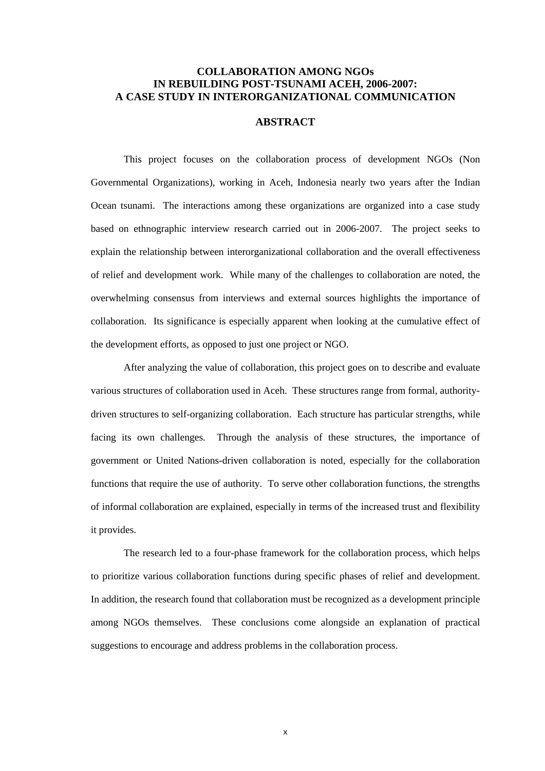## **COLLABORATION AMONG NGOs IN REBUILDING POST-TSUNAMI ACEH, 2006-2007: A CASE STUDY IN INTERORGANIZATIONAL COMMUNICATION**

#### **ABSTRACT**

This project focuses on the collaboration process of development NGOs (Non Governmental Organizations), working in Aceh, Indonesia nearly two years after the Indian Ocean tsunami. The interactions among these organizations are organized into a case study based on ethnographic interview research carried out in 2006-2007. The project seeks to explain the relationship between interorganizational collaboration and the overall effectiveness of relief and development work. While many of the challenges to collaboration are noted, the overwhelming consensus from interviews and external sources highlights the importance of collaboration. Its significance is especially apparent when looking at the cumulative effect of the development efforts, as opposed to just one project or NGO.

After analyzing the value of collaboration, this project goes on to describe and evaluate various structures of collaboration used in Aceh. These structures range from formal, authoritydriven structures to self-organizing collaboration. Each structure has particular strengths, while facing its own challenges. Through the analysis of these structures, the importance of government or United Nations-driven collaboration is noted, especially for the collaboration functions that require the use of authority. To serve other collaboration functions, the strengths of informal collaboration are explained, especially in terms of the increased trust and flexibility it provides.

The research led to a four-phase framework for the collaboration process, which helps to prioritize various collaboration functions during specific phases of relief and development. In addition, the research found that collaboration must be recognized as a development principle among NGOs themselves. These conclusions come alongside an explanation of practical suggestions to encourage and address problems in the collaboration process.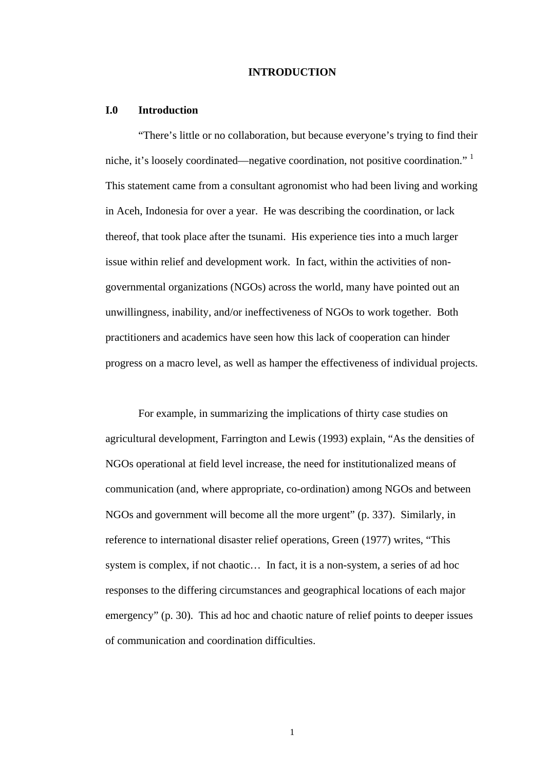#### **INTRODUCTION**

#### **I.0 Introduction**

"There's little or no collaboration, but because everyone's trying to find their niche, it's loosely coordinated—negative coordination, not positive coordination."<sup>1</sup> This statement came from a consultant agronomist who had been living and working in Aceh, Indonesia for over a year. He was describing the coordination, or lack thereof, that took place after the tsunami. His experience ties into a much larger issue within relief and development work. In fact, within the activities of nongovernmental organizations (NGOs) across the world, many have pointed out an unwillingness, inability, and/or ineffectiveness of NGOs to work together. Both practitioners and academics have seen how this lack of cooperation can hinder progress on a macro level, as well as hamper the effectiveness of individual projects.

For example, in summarizing the implications of thirty case studies on agricultural development, Farrington and Lewis (1993) explain, "As the densities of NGOs operational at field level increase, the need for institutionalized means of communication (and, where appropriate, co-ordination) among NGOs and between NGOs and government will become all the more urgent" (p. 337). Similarly, in reference to international disaster relief operations, Green (1977) writes, "This system is complex, if not chaotic… In fact, it is a non-system, a series of ad hoc responses to the differing circumstances and geographical locations of each major emergency" (p. 30). This ad hoc and chaotic nature of relief points to deeper issues of communication and coordination difficulties.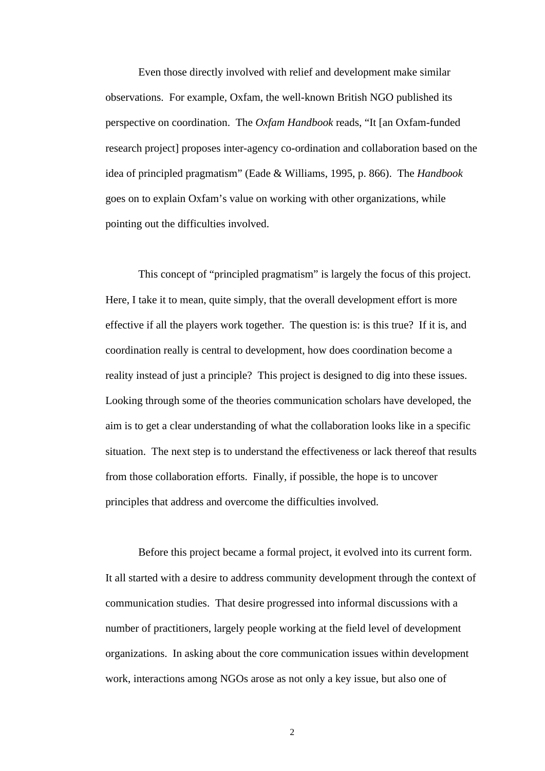Even those directly involved with relief and development make similar observations. For example, Oxfam, the well-known British NGO published its perspective on coordination. The *Oxfam Handbook* reads, "It [an Oxfam-funded research project] proposes inter-agency co-ordination and collaboration based on the idea of principled pragmatism" (Eade & Williams, 1995, p. 866). The *Handbook* goes on to explain Oxfam's value on working with other organizations, while pointing out the difficulties involved.

This concept of "principled pragmatism" is largely the focus of this project. Here, I take it to mean, quite simply, that the overall development effort is more effective if all the players work together. The question is: is this true? If it is, and coordination really is central to development, how does coordination become a reality instead of just a principle? This project is designed to dig into these issues. Looking through some of the theories communication scholars have developed, the aim is to get a clear understanding of what the collaboration looks like in a specific situation. The next step is to understand the effectiveness or lack thereof that results from those collaboration efforts. Finally, if possible, the hope is to uncover principles that address and overcome the difficulties involved.

Before this project became a formal project, it evolved into its current form. It all started with a desire to address community development through the context of communication studies. That desire progressed into informal discussions with a number of practitioners, largely people working at the field level of development organizations. In asking about the core communication issues within development work, interactions among NGOs arose as not only a key issue, but also one of

 $\overline{2}$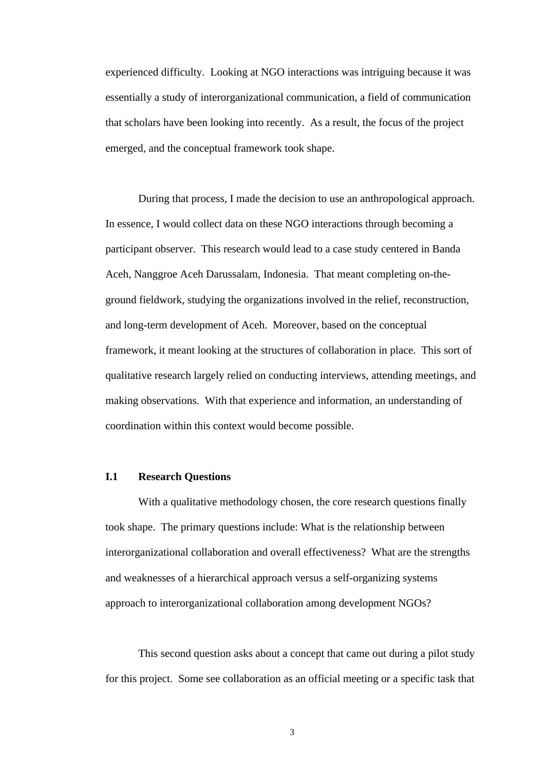experienced difficulty. Looking at NGO interactions was intriguing because it was essentially a study of interorganizational communication, a field of communication that scholars have been looking into recently. As a result, the focus of the project emerged, and the conceptual framework took shape.

During that process, I made the decision to use an anthropological approach. In essence, I would collect data on these NGO interactions through becoming a participant observer. This research would lead to a case study centered in Banda Aceh, Nanggroe Aceh Darussalam, Indonesia. That meant completing on-theground fieldwork, studying the organizations involved in the relief, reconstruction, and long-term development of Aceh. Moreover, based on the conceptual framework, it meant looking at the structures of collaboration in place. This sort of qualitative research largely relied on conducting interviews, attending meetings, and making observations. With that experience and information, an understanding of coordination within this context would become possible.

### **I.1 Research Questions**

With a qualitative methodology chosen, the core research questions finally took shape. The primary questions include: What is the relationship between interorganizational collaboration and overall effectiveness?What are the strengths and weaknesses of a hierarchical approach versus a self-organizing systems approach to interorganizational collaboration among development NGOs?

This second question asks about a concept that came out during a pilot study for this project. Some see collaboration as an official meeting or a specific task that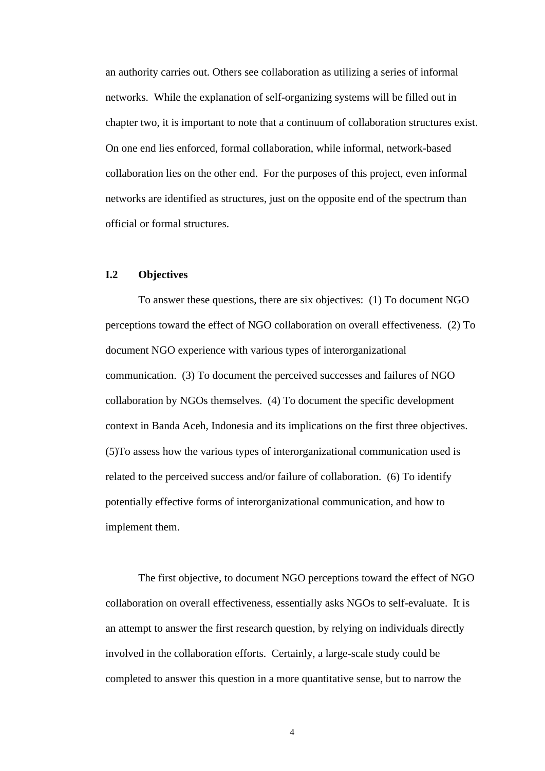an authority carries out. Others see collaboration as utilizing a series of informal networks. While the explanation of self-organizing systems will be filled out in chapter two, it is important to note that a continuum of collaboration structures exist. On one end lies enforced, formal collaboration, while informal, network-based collaboration lies on the other end. For the purposes of this project, even informal networks are identified as structures, just on the opposite end of the spectrum than official or formal structures.

### **I.2 Objectives**

To answer these questions, there are six objectives: (1) To document NGO perceptions toward the effect of NGO collaboration on overall effectiveness. (2) To document NGO experience with various types of interorganizational communication. (3) To document the perceived successes and failures of NGO collaboration by NGOs themselves. (4) To document the specific development context in Banda Aceh, Indonesia and its implications on the first three objectives. (5)To assess how the various types of interorganizational communication used is related to the perceived success and/or failure of collaboration. (6) To identify potentially effective forms of interorganizational communication, and how to implement them.

The first objective, to document NGO perceptions toward the effect of NGO collaboration on overall effectiveness, essentially asks NGOs to self-evaluate. It is an attempt to answer the first research question, by relying on individuals directly involved in the collaboration efforts. Certainly, a large-scale study could be completed to answer this question in a more quantitative sense, but to narrow the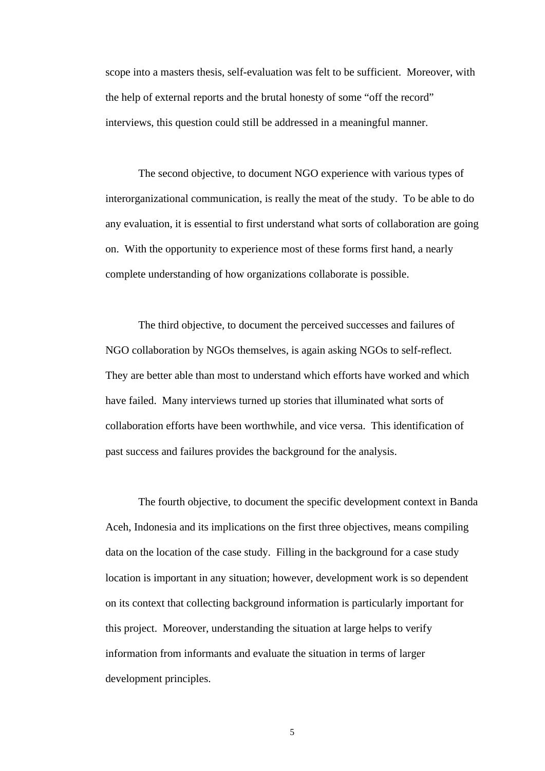scope into a masters thesis, self-evaluation was felt to be sufficient. Moreover, with the help of external reports and the brutal honesty of some "off the record" interviews, this question could still be addressed in a meaningful manner.

The second objective, to document NGO experience with various types of interorganizational communication, is really the meat of the study. To be able to do any evaluation, it is essential to first understand what sorts of collaboration are going on. With the opportunity to experience most of these forms first hand, a nearly complete understanding of how organizations collaborate is possible.

The third objective, to document the perceived successes and failures of NGO collaboration by NGOs themselves, is again asking NGOs to self-reflect. They are better able than most to understand which efforts have worked and which have failed. Many interviews turned up stories that illuminated what sorts of collaboration efforts have been worthwhile, and vice versa. This identification of past success and failures provides the background for the analysis.

The fourth objective, to document the specific development context in Banda Aceh, Indonesia and its implications on the first three objectives, means compiling data on the location of the case study. Filling in the background for a case study location is important in any situation; however, development work is so dependent on its context that collecting background information is particularly important for this project. Moreover, understanding the situation at large helps to verify information from informants and evaluate the situation in terms of larger development principles.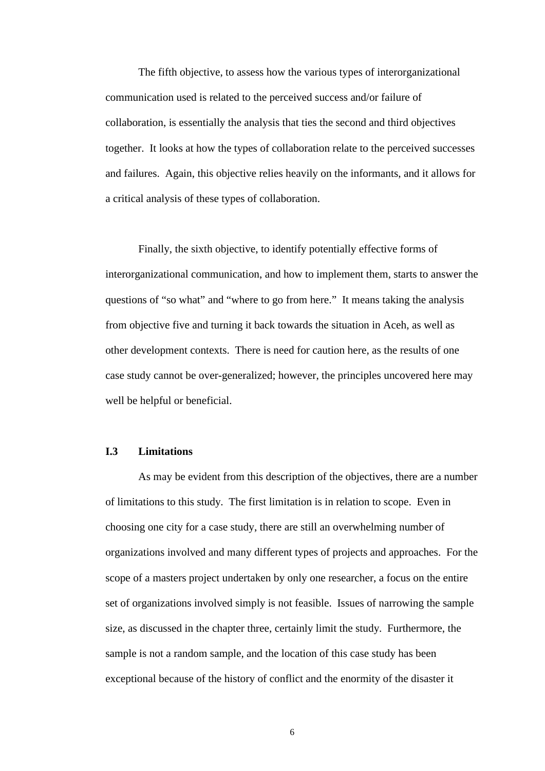The fifth objective, to assess how the various types of interorganizational communication used is related to the perceived success and/or failure of collaboration, is essentially the analysis that ties the second and third objectives together. It looks at how the types of collaboration relate to the perceived successes and failures. Again, this objective relies heavily on the informants, and it allows for a critical analysis of these types of collaboration.

Finally, the sixth objective, to identify potentially effective forms of interorganizational communication, and how to implement them, starts to answer the questions of "so what" and "where to go from here." It means taking the analysis from objective five and turning it back towards the situation in Aceh, as well as other development contexts. There is need for caution here, as the results of one case study cannot be over-generalized; however, the principles uncovered here may well be helpful or beneficial.

### **I.3 Limitations**

As may be evident from this description of the objectives, there are a number of limitations to this study. The first limitation is in relation to scope. Even in choosing one city for a case study, there are still an overwhelming number of organizations involved and many different types of projects and approaches. For the scope of a masters project undertaken by only one researcher, a focus on the entire set of organizations involved simply is not feasible. Issues of narrowing the sample size, as discussed in the chapter three, certainly limit the study. Furthermore, the sample is not a random sample, and the location of this case study has been exceptional because of the history of conflict and the enormity of the disaster it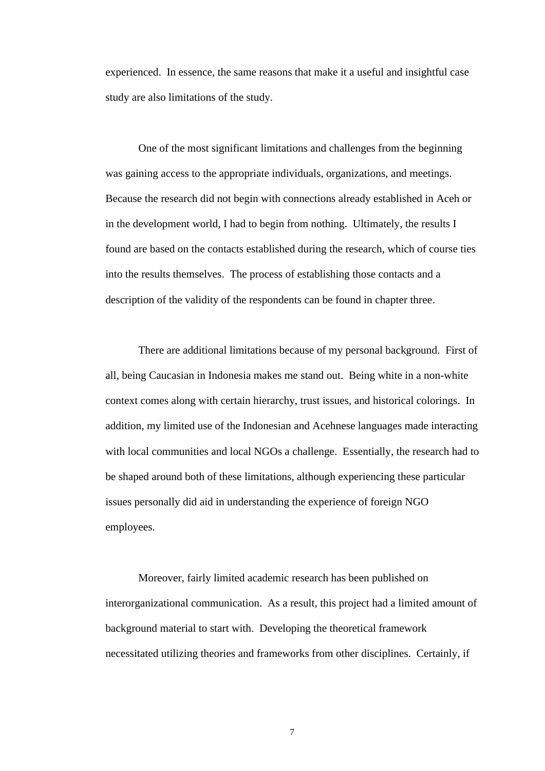experienced. In essence, the same reasons that make it a useful and insightful case study are also limitations of the study.

One of the most significant limitations and challenges from the beginning was gaining access to the appropriate individuals, organizations, and meetings. Because the research did not begin with connections already established in Aceh or in the development world, I had to begin from nothing. Ultimately, the results I found are based on the contacts established during the research, which of course ties into the results themselves. The process of establishing those contacts and a description of the validity of the respondents can be found in chapter three.

There are additional limitations because of my personal background. First of all, being Caucasian in Indonesia makes me stand out. Being white in a non-white context comes along with certain hierarchy, trust issues, and historical colorings. In addition, my limited use of the Indonesian and Acehnese languages made interacting with local communities and local NGOs a challenge. Essentially, the research had to be shaped around both of these limitations, although experiencing these particular issues personally did aid in understanding the experience of foreign NGO employees.

Moreover, fairly limited academic research has been published on interorganizational communication. As a result, this project had a limited amount of background material to start with. Developing the theoretical framework necessitated utilizing theories and frameworks from other disciplines. Certainly, if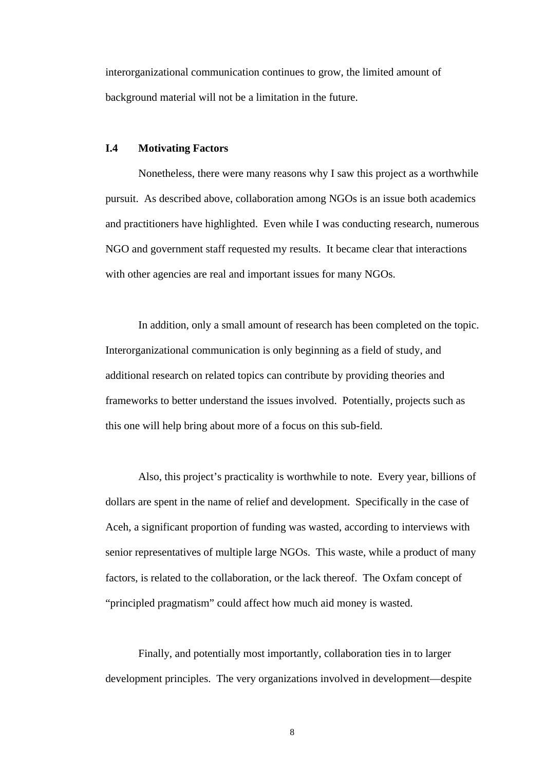interorganizational communication continues to grow, the limited amount of background material will not be a limitation in the future.

### **I.4 Motivating Factors**

Nonetheless, there were many reasons why I saw this project as a worthwhile pursuit. As described above, collaboration among NGOs is an issue both academics and practitioners have highlighted. Even while I was conducting research, numerous NGO and government staff requested my results. It became clear that interactions with other agencies are real and important issues for many NGOs.

In addition, only a small amount of research has been completed on the topic. Interorganizational communication is only beginning as a field of study, and additional research on related topics can contribute by providing theories and frameworks to better understand the issues involved. Potentially, projects such as this one will help bring about more of a focus on this sub-field.

Also, this project's practicality is worthwhile to note. Every year, billions of dollars are spent in the name of relief and development. Specifically in the case of Aceh, a significant proportion of funding was wasted, according to interviews with senior representatives of multiple large NGOs. This waste, while a product of many factors, is related to the collaboration, or the lack thereof. The Oxfam concept of "principled pragmatism" could affect how much aid money is wasted.

Finally, and potentially most importantly, collaboration ties in to larger development principles. The very organizations involved in development—despite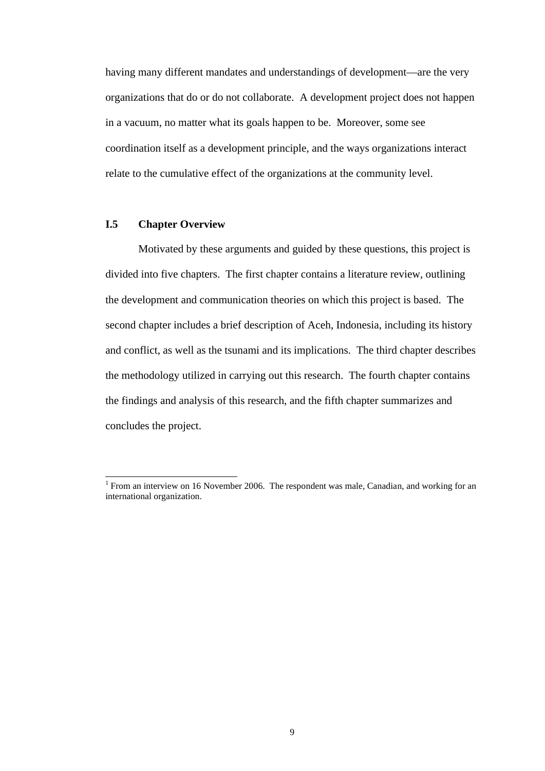having many different mandates and understandings of development—are the very organizations that do or do not collaborate. A development project does not happen in a vacuum, no matter what its goals happen to be. Moreover, some see coordination itself as a development principle, and the ways organizations interact relate to the cumulative effect of the organizations at the community level.

#### **I.5 Chapter Overview**

Motivated by these arguments and guided by these questions, this project is divided into five chapters. The first chapter contains a literature review, outlining the development and communication theories on which this project is based. The second chapter includes a brief description of Aceh, Indonesia, including its history and conflict, as well as the tsunami and its implications. The third chapter describes the methodology utilized in carrying out this research. The fourth chapter contains the findings and analysis of this research, and the fifth chapter summarizes and concludes the project.

<sup>&</sup>lt;sup>1</sup> From an interview on 16 November 2006. The respondent was male, Canadian, and working for an international organization.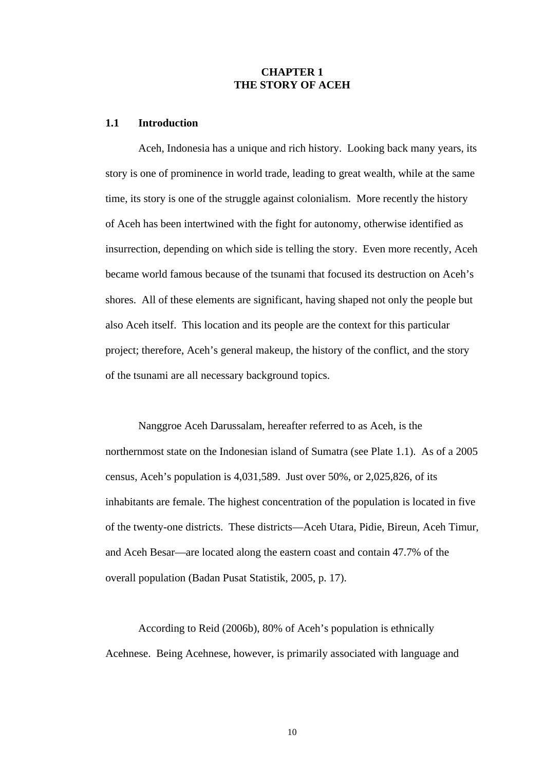### **CHAPTER 1 THE STORY OF ACEH**

#### **1.1 Introduction**

Aceh, Indonesia has a unique and rich history. Looking back many years, its story is one of prominence in world trade, leading to great wealth, while at the same time, its story is one of the struggle against colonialism. More recently the history of Aceh has been intertwined with the fight for autonomy, otherwise identified as insurrection, depending on which side is telling the story. Even more recently, Aceh became world famous because of the tsunami that focused its destruction on Aceh's shores. All of these elements are significant, having shaped not only the people but also Aceh itself. This location and its people are the context for this particular project; therefore, Aceh's general makeup, the history of the conflict, and the story of the tsunami are all necessary background topics.

Nanggroe Aceh Darussalam, hereafter referred to as Aceh, is the northernmost state on the Indonesian island of Sumatra (see Plate 1.1). As of a 2005 census, Aceh's population is 4,031,589. Just over 50%, or 2,025,826, of its inhabitants are female. The highest concentration of the population is located in five of the twenty-one districts. These districts—Aceh Utara, Pidie, Bireun, Aceh Timur, and Aceh Besar—are located along the eastern coast and contain 47.7% of the overall population (Badan Pusat Statistik, 2005, p. 17).

According to Reid (2006b), 80% of Aceh's population is ethnically Acehnese. Being Acehnese, however, is primarily associated with language and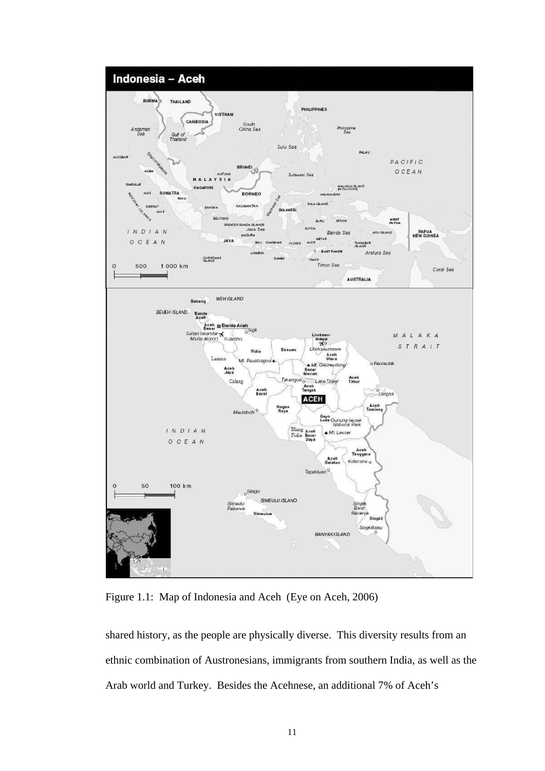

Figure 1.1: Map of Indonesia and Aceh (Eye on Aceh, 2006)

shared history, as the people are physically diverse. This diversity results from an ethnic combination of Austronesians, immigrants from southern India, as well as the Arab world and Turkey. Besides the Acehnese, an additional 7% of Aceh's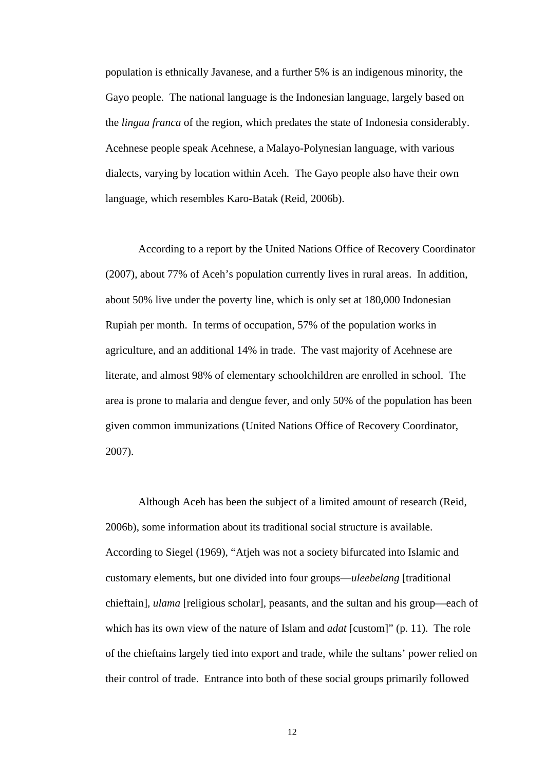population is ethnically Javanese, and a further 5% is an indigenous minority, the Gayo people. The national language is the Indonesian language, largely based on the *lingua franca* of the region, which predates the state of Indonesia considerably. Acehnese people speak Acehnese, a Malayo-Polynesian language, with various dialects, varying by location within Aceh. The Gayo people also have their own language, which resembles Karo-Batak (Reid, 2006b).

According to a report by the United Nations Office of Recovery Coordinator (2007), about 77% of Aceh's population currently lives in rural areas. In addition, about 50% live under the poverty line, which is only set at 180,000 Indonesian Rupiah per month. In terms of occupation, 57% of the population works in agriculture, and an additional 14% in trade. The vast majority of Acehnese are literate, and almost 98% of elementary schoolchildren are enrolled in school. The area is prone to malaria and dengue fever, and only 50% of the population has been given common immunizations (United Nations Office of Recovery Coordinator, 2007).

Although Aceh has been the subject of a limited amount of research (Reid, 2006b), some information about its traditional social structure is available. According to Siegel (1969), "Atjeh was not a society bifurcated into Islamic and customary elements, but one divided into four groups—*uleebelang* [traditional chieftain]*, ulama* [religious scholar]*,* peasants, and the sultan and his group—each of which has its own view of the nature of Islam and *adat* [custom]" (p. 11). The role of the chieftains largely tied into export and trade, while the sultans' power relied on their control of trade. Entrance into both of these social groups primarily followed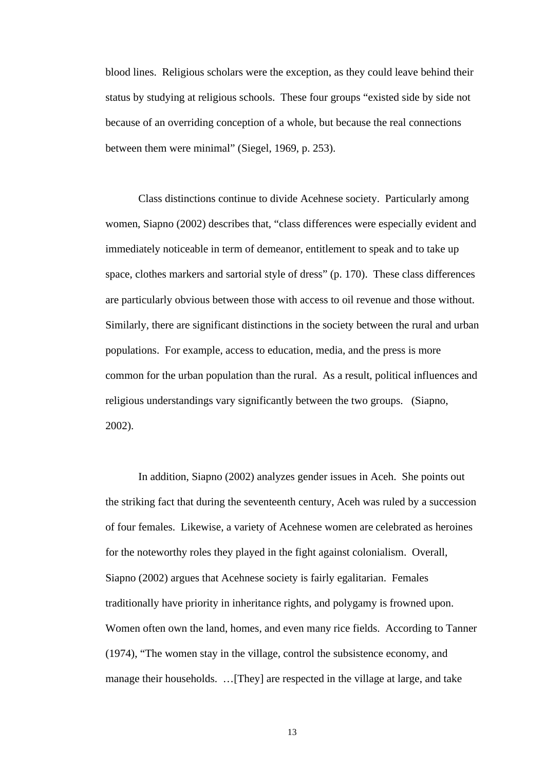blood lines. Religious scholars were the exception, as they could leave behind their status by studying at religious schools. These four groups "existed side by side not because of an overriding conception of a whole, but because the real connections between them were minimal" (Siegel, 1969, p. 253).

Class distinctions continue to divide Acehnese society. Particularly among women, Siapno (2002) describes that, "class differences were especially evident and immediately noticeable in term of demeanor, entitlement to speak and to take up space, clothes markers and sartorial style of dress" (p. 170). These class differences are particularly obvious between those with access to oil revenue and those without. Similarly, there are significant distinctions in the society between the rural and urban populations. For example, access to education, media, and the press is more common for the urban population than the rural. As a result, political influences and religious understandings vary significantly between the two groups. (Siapno, 2002).

In addition, Siapno (2002) analyzes gender issues in Aceh. She points out the striking fact that during the seventeenth century, Aceh was ruled by a succession of four females. Likewise, a variety of Acehnese women are celebrated as heroines for the noteworthy roles they played in the fight against colonialism. Overall, Siapno (2002) argues that Acehnese society is fairly egalitarian. Females traditionally have priority in inheritance rights, and polygamy is frowned upon. Women often own the land, homes, and even many rice fields. According to Tanner (1974), "The women stay in the village, control the subsistence economy, and manage their households. …[They] are respected in the village at large, and take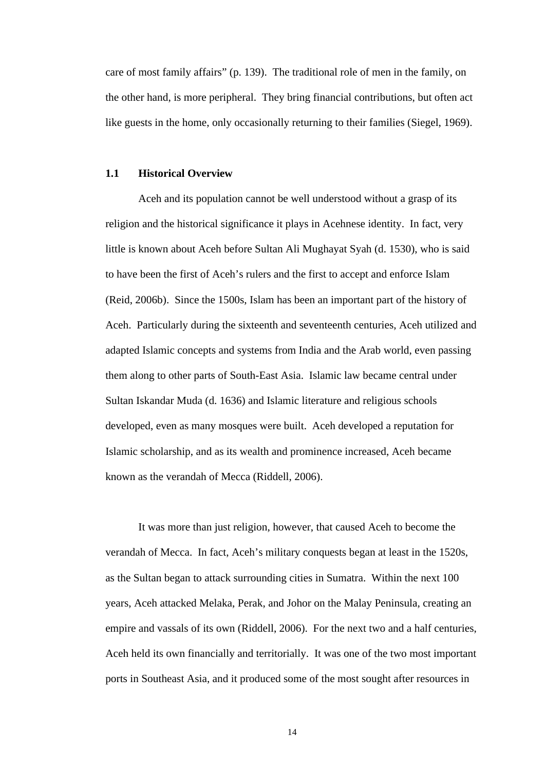care of most family affairs" (p. 139). The traditional role of men in the family, on the other hand, is more peripheral. They bring financial contributions, but often act like guests in the home, only occasionally returning to their families (Siegel, 1969).

#### **1.1 Historical Overview**

Aceh and its population cannot be well understood without a grasp of its religion and the historical significance it plays in Acehnese identity. In fact, very little is known about Aceh before Sultan Ali Mughayat Syah (d. 1530), who is said to have been the first of Aceh's rulers and the first to accept and enforce Islam (Reid, 2006b). Since the 1500s, Islam has been an important part of the history of Aceh. Particularly during the sixteenth and seventeenth centuries, Aceh utilized and adapted Islamic concepts and systems from India and the Arab world, even passing them along to other parts of South-East Asia. Islamic law became central under Sultan Iskandar Muda (d. 1636) and Islamic literature and religious schools developed, even as many mosques were built. Aceh developed a reputation for Islamic scholarship, and as its wealth and prominence increased, Aceh became known as the verandah of Mecca (Riddell, 2006).

It was more than just religion, however, that caused Aceh to become the verandah of Mecca. In fact, Aceh's military conquests began at least in the 1520s, as the Sultan began to attack surrounding cities in Sumatra. Within the next 100 years, Aceh attacked Melaka, Perak, and Johor on the Malay Peninsula, creating an empire and vassals of its own (Riddell, 2006). For the next two and a half centuries, Aceh held its own financially and territorially. It was one of the two most important ports in Southeast Asia, and it produced some of the most sought after resources in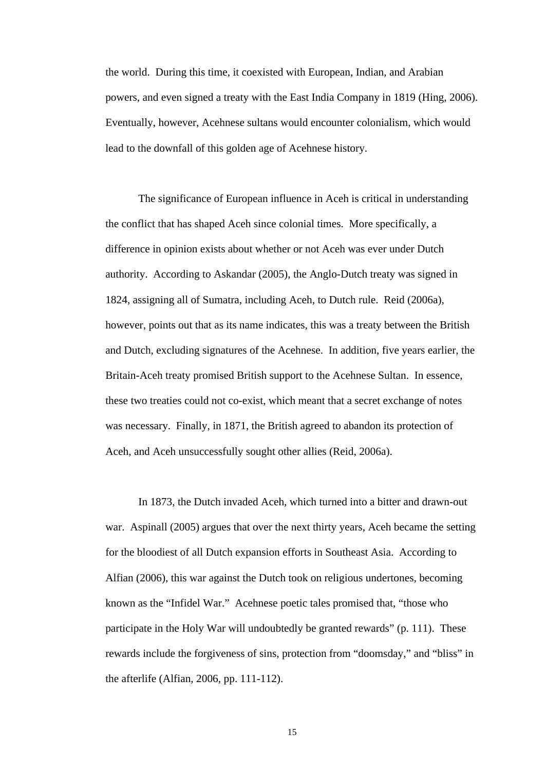the world. During this time, it coexisted with European, Indian, and Arabian powers, and even signed a treaty with the East India Company in 1819 (Hing, 2006). Eventually, however, Acehnese sultans would encounter colonialism, which would lead to the downfall of this golden age of Acehnese history.

The significance of European influence in Aceh is critical in understanding the conflict that has shaped Aceh since colonial times. More specifically, a difference in opinion exists about whether or not Aceh was ever under Dutch authority. According to Askandar (2005), the Anglo-Dutch treaty was signed in 1824, assigning all of Sumatra, including Aceh, to Dutch rule. Reid (2006a), however, points out that as its name indicates, this was a treaty between the British and Dutch, excluding signatures of the Acehnese. In addition, five years earlier, the Britain-Aceh treaty promised British support to the Acehnese Sultan. In essence, these two treaties could not co-exist, which meant that a secret exchange of notes was necessary. Finally, in 1871, the British agreed to abandon its protection of Aceh, and Aceh unsuccessfully sought other allies (Reid, 2006a).

In 1873, the Dutch invaded Aceh, which turned into a bitter and drawn-out war. Aspinall (2005) argues that over the next thirty years, Aceh became the setting for the bloodiest of all Dutch expansion efforts in Southeast Asia. According to Alfian (2006), this war against the Dutch took on religious undertones, becoming known as the "Infidel War." Acehnese poetic tales promised that, "those who participate in the Holy War will undoubtedly be granted rewards" (p. 111). These rewards include the forgiveness of sins, protection from "doomsday," and "bliss" in the afterlife (Alfian, 2006, pp. 111-112).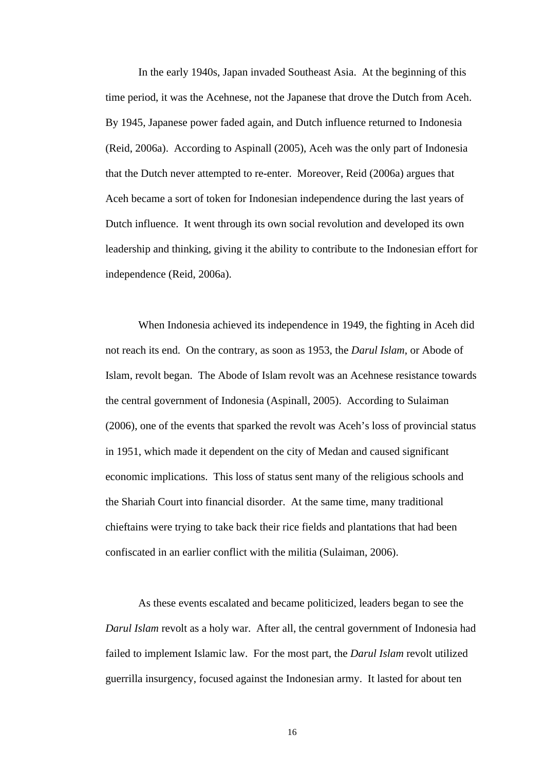In the early 1940s, Japan invaded Southeast Asia. At the beginning of this time period, it was the Acehnese, not the Japanese that drove the Dutch from Aceh. By 1945, Japanese power faded again, and Dutch influence returned to Indonesia (Reid, 2006a). According to Aspinall (2005), Aceh was the only part of Indonesia that the Dutch never attempted to re-enter. Moreover, Reid (2006a) argues that Aceh became a sort of token for Indonesian independence during the last years of Dutch influence. It went through its own social revolution and developed its own leadership and thinking, giving it the ability to contribute to the Indonesian effort for independence (Reid, 2006a).

When Indonesia achieved its independence in 1949, the fighting in Aceh did not reach its end. On the contrary, as soon as 1953, the *Darul Islam*, or Abode of Islam, revolt began. The Abode of Islam revolt was an Acehnese resistance towards the central government of Indonesia (Aspinall, 2005). According to Sulaiman (2006), one of the events that sparked the revolt was Aceh's loss of provincial status in 1951, which made it dependent on the city of Medan and caused significant economic implications. This loss of status sent many of the religious schools and the Shariah Court into financial disorder. At the same time, many traditional chieftains were trying to take back their rice fields and plantations that had been confiscated in an earlier conflict with the militia (Sulaiman, 2006).

As these events escalated and became politicized, leaders began to see the *Darul Islam* revolt as a holy war. After all, the central government of Indonesia had failed to implement Islamic law. For the most part, the *Darul Islam* revolt utilized guerrilla insurgency, focused against the Indonesian army. It lasted for about ten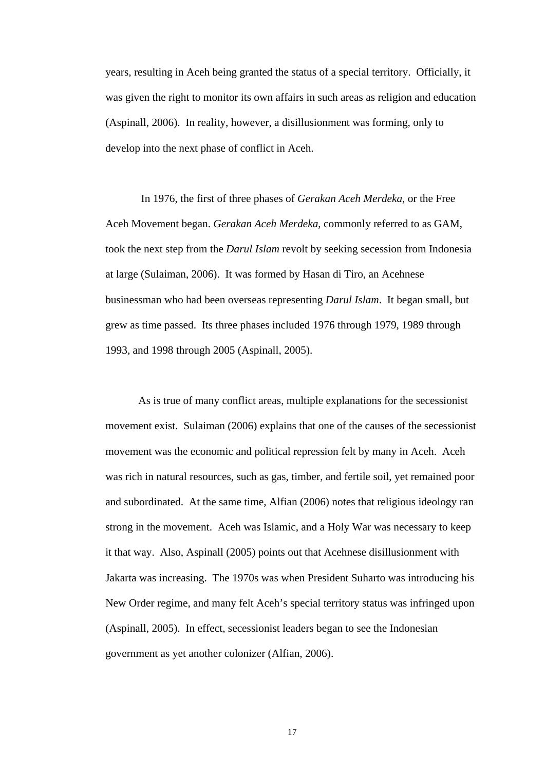years, resulting in Aceh being granted the status of a special territory. Officially, it was given the right to monitor its own affairs in such areas as religion and education (Aspinall, 2006). In reality, however, a disillusionment was forming, only to develop into the next phase of conflict in Aceh.

 In 1976, the first of three phases of *Gerakan Aceh Merdeka*, or the Free Aceh Movement began. *Gerakan Aceh Merdeka*, commonly referred to as GAM, took the next step from the *Darul Islam* revolt by seeking secession from Indonesia at large (Sulaiman, 2006). It was formed by Hasan di Tiro, an Acehnese businessman who had been overseas representing *Darul Islam*. It began small, but grew as time passed. Its three phases included 1976 through 1979, 1989 through 1993, and 1998 through 2005 (Aspinall, 2005).

As is true of many conflict areas, multiple explanations for the secessionist movement exist. Sulaiman (2006) explains that one of the causes of the secessionist movement was the economic and political repression felt by many in Aceh. Aceh was rich in natural resources, such as gas, timber, and fertile soil, yet remained poor and subordinated. At the same time, Alfian (2006) notes that religious ideology ran strong in the movement. Aceh was Islamic, and a Holy War was necessary to keep it that way. Also, Aspinall (2005) points out that Acehnese disillusionment with Jakarta was increasing. The 1970s was when President Suharto was introducing his New Order regime, and many felt Aceh's special territory status was infringed upon (Aspinall, 2005). In effect, secessionist leaders began to see the Indonesian government as yet another colonizer (Alfian, 2006).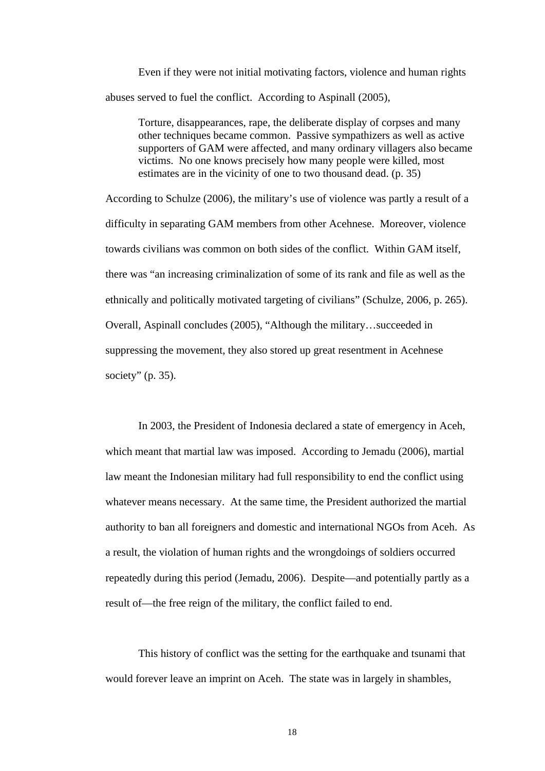Even if they were not initial motivating factors, violence and human rights abuses served to fuel the conflict. According to Aspinall (2005),

Torture, disappearances, rape, the deliberate display of corpses and many other techniques became common. Passive sympathizers as well as active supporters of GAM were affected, and many ordinary villagers also became victims. No one knows precisely how many people were killed, most estimates are in the vicinity of one to two thousand dead. (p. 35)

According to Schulze (2006), the military's use of violence was partly a result of a difficulty in separating GAM members from other Acehnese. Moreover, violence towards civilians was common on both sides of the conflict. Within GAM itself, there was "an increasing criminalization of some of its rank and file as well as the ethnically and politically motivated targeting of civilians" (Schulze, 2006, p. 265). Overall, Aspinall concludes (2005), "Although the military…succeeded in suppressing the movement, they also stored up great resentment in Acehnese society"  $(p. 35)$ .

In 2003, the President of Indonesia declared a state of emergency in Aceh, which meant that martial law was imposed. According to Jemadu (2006), martial law meant the Indonesian military had full responsibility to end the conflict using whatever means necessary. At the same time, the President authorized the martial authority to ban all foreigners and domestic and international NGOs from Aceh. As a result, the violation of human rights and the wrongdoings of soldiers occurred repeatedly during this period (Jemadu, 2006). Despite—and potentially partly as a result of—the free reign of the military, the conflict failed to end.

This history of conflict was the setting for the earthquake and tsunami that would forever leave an imprint on Aceh. The state was in largely in shambles,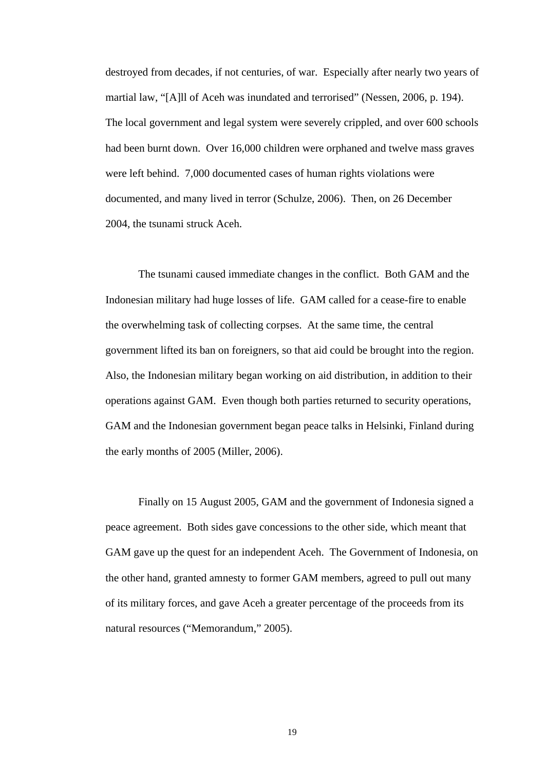destroyed from decades, if not centuries, of war. Especially after nearly two years of martial law, "[A]ll of Aceh was inundated and terrorised" (Nessen, 2006, p. 194). The local government and legal system were severely crippled, and over 600 schools had been burnt down. Over 16,000 children were orphaned and twelve mass graves were left behind. 7,000 documented cases of human rights violations were documented, and many lived in terror (Schulze, 2006). Then, on 26 December 2004, the tsunami struck Aceh.

The tsunami caused immediate changes in the conflict. Both GAM and the Indonesian military had huge losses of life. GAM called for a cease-fire to enable the overwhelming task of collecting corpses. At the same time, the central government lifted its ban on foreigners, so that aid could be brought into the region. Also, the Indonesian military began working on aid distribution, in addition to their operations against GAM. Even though both parties returned to security operations, GAM and the Indonesian government began peace talks in Helsinki, Finland during the early months of 2005 (Miller, 2006).

Finally on 15 August 2005, GAM and the government of Indonesia signed a peace agreement. Both sides gave concessions to the other side, which meant that GAM gave up the quest for an independent Aceh. The Government of Indonesia, on the other hand, granted amnesty to former GAM members, agreed to pull out many of its military forces, and gave Aceh a greater percentage of the proceeds from its natural resources ("Memorandum," 2005).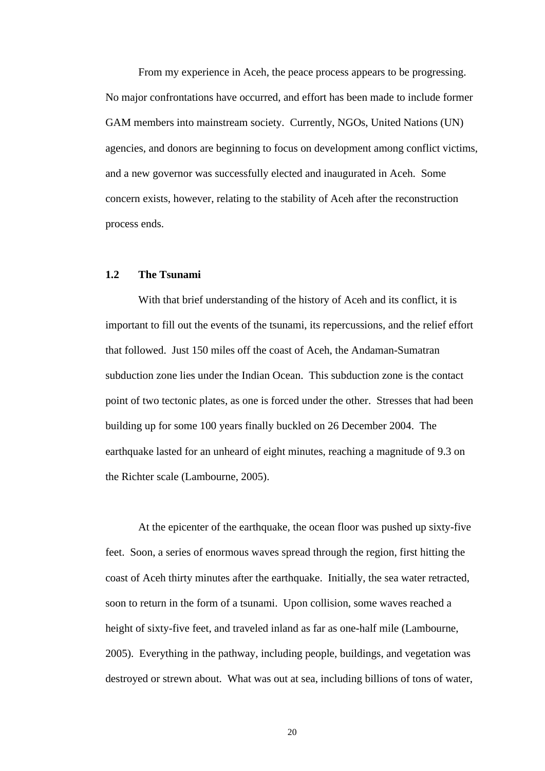From my experience in Aceh, the peace process appears to be progressing. No major confrontations have occurred, and effort has been made to include former GAM members into mainstream society. Currently, NGOs, United Nations (UN) agencies, and donors are beginning to focus on development among conflict victims, and a new governor was successfully elected and inaugurated in Aceh. Some concern exists, however, relating to the stability of Aceh after the reconstruction process ends.

#### **1.2 The Tsunami**

With that brief understanding of the history of Aceh and its conflict, it is important to fill out the events of the tsunami, its repercussions, and the relief effort that followed. Just 150 miles off the coast of Aceh, the Andaman-Sumatran subduction zone lies under the Indian Ocean. This subduction zone is the contact point of two tectonic plates, as one is forced under the other. Stresses that had been building up for some 100 years finally buckled on 26 December 2004. The earthquake lasted for an unheard of eight minutes, reaching a magnitude of 9.3 on the Richter scale (Lambourne, 2005).

At the epicenter of the earthquake, the ocean floor was pushed up sixty-five feet. Soon, a series of enormous waves spread through the region, first hitting the coast of Aceh thirty minutes after the earthquake. Initially, the sea water retracted, soon to return in the form of a tsunami. Upon collision, some waves reached a height of sixty-five feet, and traveled inland as far as one-half mile (Lambourne, 2005). Everything in the pathway, including people, buildings, and vegetation was destroyed or strewn about. What was out at sea, including billions of tons of water,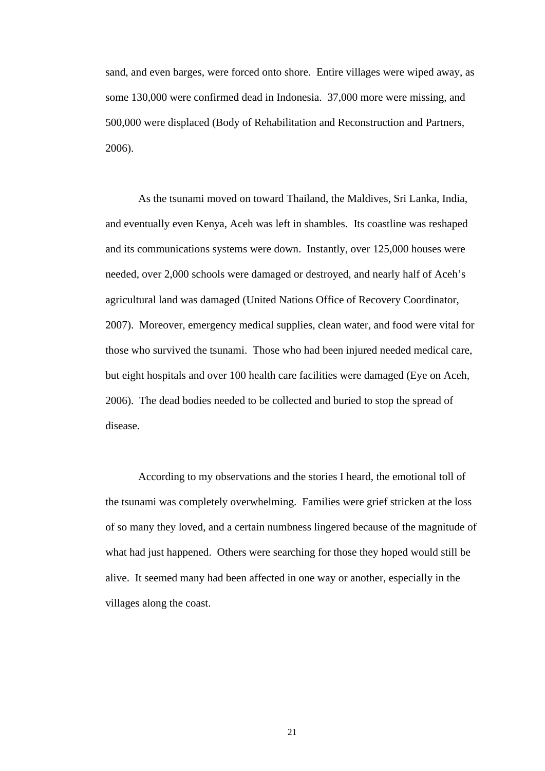sand, and even barges, were forced onto shore. Entire villages were wiped away, as some 130,000 were confirmed dead in Indonesia. 37,000 more were missing, and 500,000 were displaced (Body of Rehabilitation and Reconstruction and Partners, 2006).

As the tsunami moved on toward Thailand, the Maldives, Sri Lanka, India, and eventually even Kenya, Aceh was left in shambles. Its coastline was reshaped and its communications systems were down. Instantly, over 125,000 houses were needed, over 2,000 schools were damaged or destroyed, and nearly half of Aceh's agricultural land was damaged (United Nations Office of Recovery Coordinator, 2007). Moreover, emergency medical supplies, clean water, and food were vital for those who survived the tsunami. Those who had been injured needed medical care, but eight hospitals and over 100 health care facilities were damaged (Eye on Aceh, 2006). The dead bodies needed to be collected and buried to stop the spread of disease.

According to my observations and the stories I heard, the emotional toll of the tsunami was completely overwhelming. Families were grief stricken at the loss of so many they loved, and a certain numbness lingered because of the magnitude of what had just happened. Others were searching for those they hoped would still be alive. It seemed many had been affected in one way or another, especially in the villages along the coast.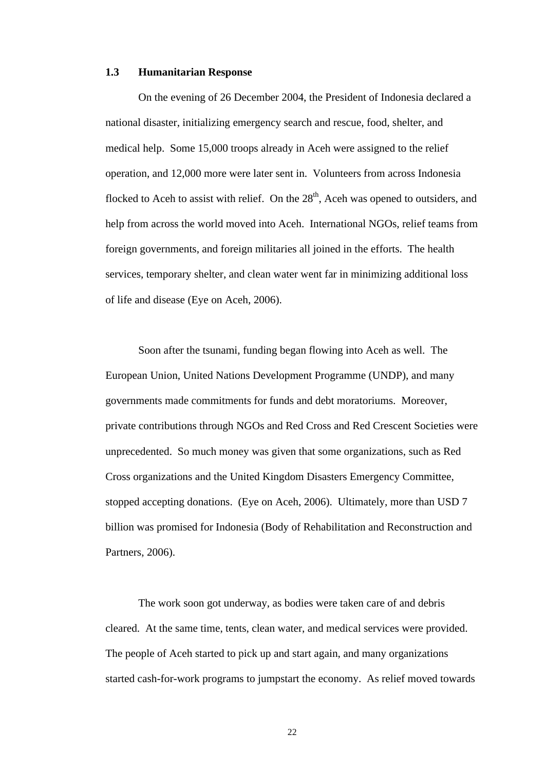#### **1.3 Humanitarian Response**

On the evening of 26 December 2004, the President of Indonesia declared a national disaster, initializing emergency search and rescue, food, shelter, and medical help. Some 15,000 troops already in Aceh were assigned to the relief operation, and 12,000 more were later sent in. Volunteers from across Indonesia flocked to Aceh to assist with relief. On the  $28<sup>th</sup>$ , Aceh was opened to outsiders, and help from across the world moved into Aceh. International NGOs, relief teams from foreign governments, and foreign militaries all joined in the efforts. The health services, temporary shelter, and clean water went far in minimizing additional loss of life and disease (Eye on Aceh, 2006).

Soon after the tsunami, funding began flowing into Aceh as well. The European Union, United Nations Development Programme (UNDP), and many governments made commitments for funds and debt moratoriums. Moreover, private contributions through NGOs and Red Cross and Red Crescent Societies were unprecedented. So much money was given that some organizations, such as Red Cross organizations and the United Kingdom Disasters Emergency Committee, stopped accepting donations. (Eye on Aceh, 2006). Ultimately, more than USD 7 billion was promised for Indonesia (Body of Rehabilitation and Reconstruction and Partners, 2006).

The work soon got underway, as bodies were taken care of and debris cleared. At the same time, tents, clean water, and medical services were provided. The people of Aceh started to pick up and start again, and many organizations started cash-for-work programs to jumpstart the economy. As relief moved towards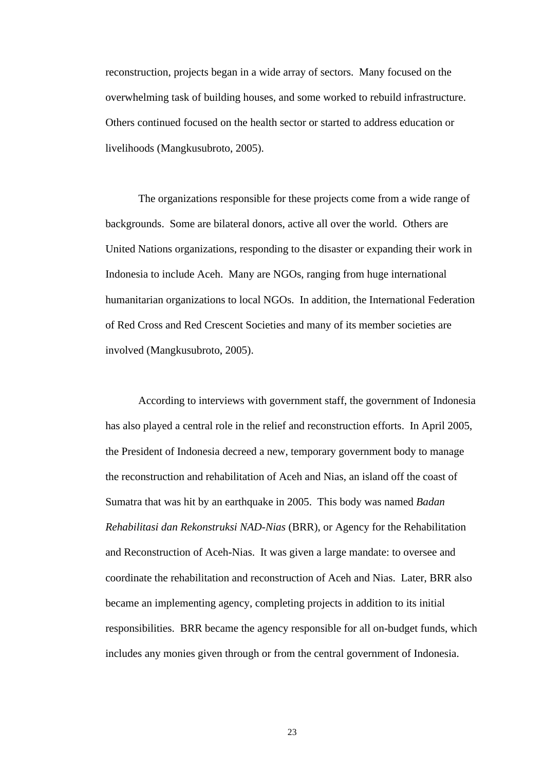reconstruction, projects began in a wide array of sectors. Many focused on the overwhelming task of building houses, and some worked to rebuild infrastructure. Others continued focused on the health sector or started to address education or livelihoods (Mangkusubroto, 2005).

The organizations responsible for these projects come from a wide range of backgrounds. Some are bilateral donors, active all over the world. Others are United Nations organizations, responding to the disaster or expanding their work in Indonesia to include Aceh. Many are NGOs, ranging from huge international humanitarian organizations to local NGOs. In addition, the International Federation of Red Cross and Red Crescent Societies and many of its member societies are involved (Mangkusubroto, 2005).

According to interviews with government staff, the government of Indonesia has also played a central role in the relief and reconstruction efforts. In April 2005, the President of Indonesia decreed a new, temporary government body to manage the reconstruction and rehabilitation of Aceh and Nias, an island off the coast of Sumatra that was hit by an earthquake in 2005. This body was named *Badan Rehabilitasi dan Rekonstruksi NAD-Nias* (BRR), or Agency for the Rehabilitation and Reconstruction of Aceh-Nias. It was given a large mandate: to oversee and coordinate the rehabilitation and reconstruction of Aceh and Nias. Later, BRR also became an implementing agency, completing projects in addition to its initial responsibilities. BRR became the agency responsible for all on-budget funds, which includes any monies given through or from the central government of Indonesia.